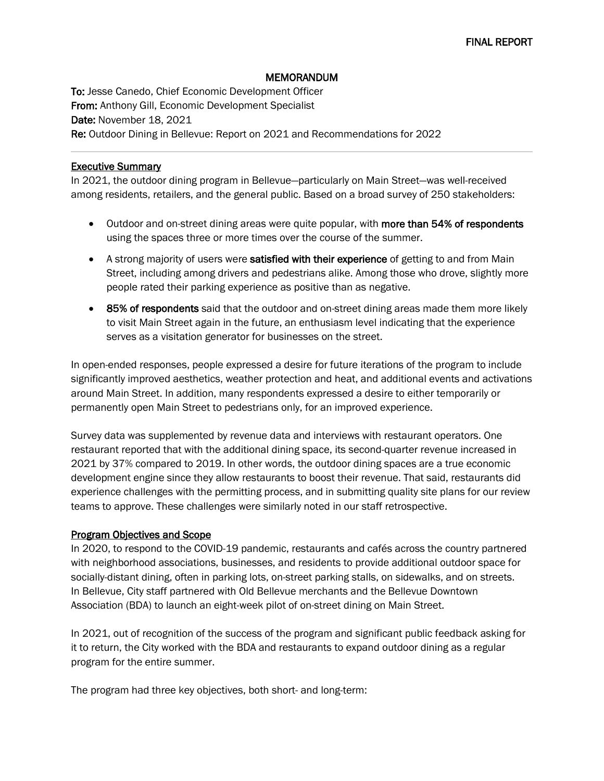# MEMORANDUM

To: Jesse Canedo, Chief Economic Development Officer From: Anthony Gill, Economic Development Specialist Date: November 18, 2021 Re: Outdoor Dining in Bellevue: Report on 2021 and Recommendations for 2022

#### Executive Summary

In 2021, the outdoor dining program in Bellevue—particularly on Main Street—was well-received among residents, retailers, and the general public. Based on a broad survey of 250 stakeholders:

- Outdoor and on-street dining areas were quite popular, with more than 54% of respondents using the spaces three or more times over the course of the summer.
- A strong majority of users were satisfied with their experience of getting to and from Main Street, including among drivers and pedestrians alike. Among those who drove, slightly more people rated their parking experience as positive than as negative.
- 85% of respondents said that the outdoor and on-street dining areas made them more likely to visit Main Street again in the future, an enthusiasm level indicating that the experience serves as a visitation generator for businesses on the street.

In open-ended responses, people expressed a desire for future iterations of the program to include significantly improved aesthetics, weather protection and heat, and additional events and activations around Main Street. In addition, many respondents expressed a desire to either temporarily or permanently open Main Street to pedestrians only, for an improved experience.

Survey data was supplemented by revenue data and interviews with restaurant operators. One restaurant reported that with the additional dining space, its second-quarter revenue increased in 2021 by 37% compared to 2019. In other words, the outdoor dining spaces are a true economic development engine since they allow restaurants to boost their revenue. That said, restaurants did experience challenges with the permitting process, and in submitting quality site plans for our review teams to approve. These challenges were similarly noted in our staff retrospective.

### Program Objectives and Scope

In 2020, to respond to the COVID-19 pandemic, restaurants and cafés across the country partnered with neighborhood associations, businesses, and residents to provide additional outdoor space for socially-distant dining, often in parking lots, on-street parking stalls, on sidewalks, and on streets. In Bellevue, City staff partnered with Old Bellevue merchants and the Bellevue Downtown Association (BDA) to launch an eight-week pilot of on-street dining on Main Street.

In 2021, out of recognition of the success of the program and significant public feedback asking for it to return, the City worked with the BDA and restaurants to expand outdoor dining as a regular program for the entire summer.

The program had three key objectives, both short- and long-term: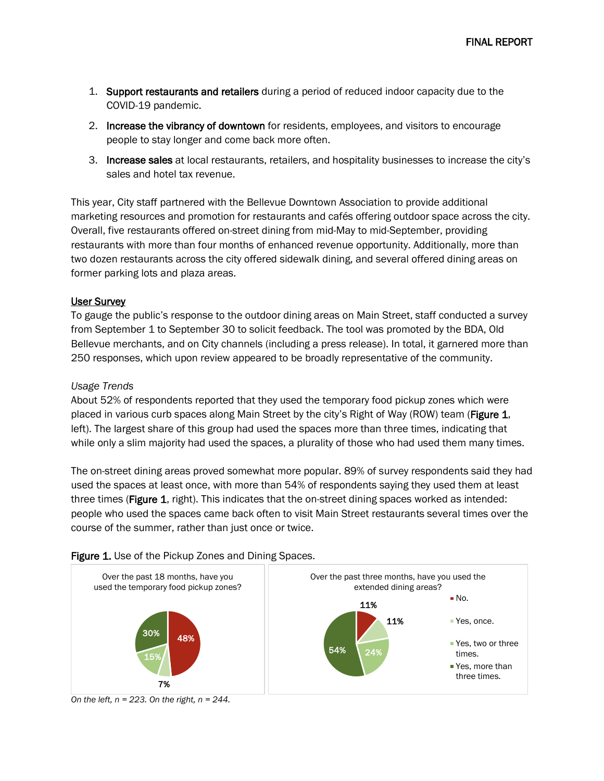- 1. Support restaurants and retailers during a period of reduced indoor capacity due to the COVID-19 pandemic.
- 2. Increase the vibrancy of downtown for residents, employees, and visitors to encourage people to stay longer and come back more often.
- 3. Increase sales at local restaurants, retailers, and hospitality businesses to increase the city's sales and hotel tax revenue.

This year, City staff partnered with the Bellevue Downtown Association to provide additional marketing resources and promotion for restaurants and cafés offering outdoor space across the city. Overall, five restaurants offered on-street dining from mid-May to mid-September, providing restaurants with more than four months of enhanced revenue opportunity. Additionally, more than two dozen restaurants across the city offered sidewalk dining, and several offered dining areas on former parking lots and plaza areas.

### User Survey

To gauge the public's response to the outdoor dining areas on Main Street, staff conducted a survey from September 1 to September 30 to solicit feedback. The tool was promoted by the BDA, Old Bellevue merchants, and on City channels (including a press release). In total, it garnered more than 250 responses, which upon review appeared to be broadly representative of the community.

### *Usage Trends*

About 52% of respondents reported that they used the temporary food pickup zones which were placed in various curb spaces along Main Street by the city's Right of Way (ROW) team (Figure 1, left). The largest share of this group had used the spaces more than three times, indicating that while only a slim majority had used the spaces, a plurality of those who had used them many times.

The on-street dining areas proved somewhat more popular. 89% of survey respondents said they had used the spaces at least once, with more than 54% of respondents saying they used them at least three times (Figure 1, right). This indicates that the on-street dining spaces worked as intended: people who used the spaces came back often to visit Main Street restaurants several times over the course of the summer, rather than just once or twice.



### Figure 1. Use of the Pickup Zones and Dining Spaces.

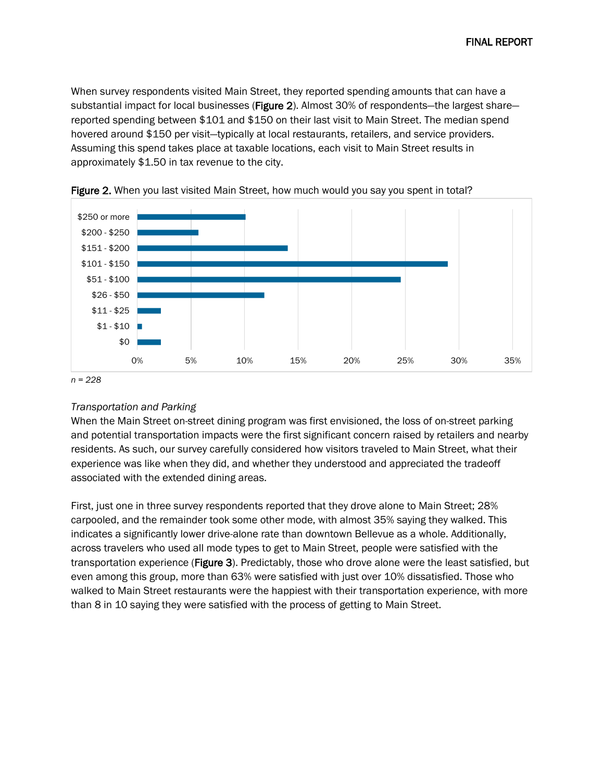When survey respondents visited Main Street, they reported spending amounts that can have a substantial impact for local businesses (Figure 2). Almost 30% of respondents—the largest share reported spending between \$101 and \$150 on their last visit to Main Street. The median spend hovered around \$150 per visit—typically at local restaurants, retailers, and service providers. Assuming this spend takes place at taxable locations, each visit to Main Street results in approximately \$1.50 in tax revenue to the city.





### *Transportation and Parking*

When the Main Street on-street dining program was first envisioned, the loss of on-street parking and potential transportation impacts were the first significant concern raised by retailers and nearby residents. As such, our survey carefully considered how visitors traveled to Main Street, what their experience was like when they did, and whether they understood and appreciated the tradeoff associated with the extended dining areas.

First, just one in three survey respondents reported that they drove alone to Main Street; 28% carpooled, and the remainder took some other mode, with almost 35% saying they walked. This indicates a significantly lower drive-alone rate than downtown Bellevue as a whole. Additionally, across travelers who used all mode types to get to Main Street, people were satisfied with the transportation experience (Figure 3). Predictably, those who drove alone were the least satisfied, but even among this group, more than 63% were satisfied with just over 10% dissatisfied. Those who walked to Main Street restaurants were the happiest with their transportation experience, with more than 8 in 10 saying they were satisfied with the process of getting to Main Street.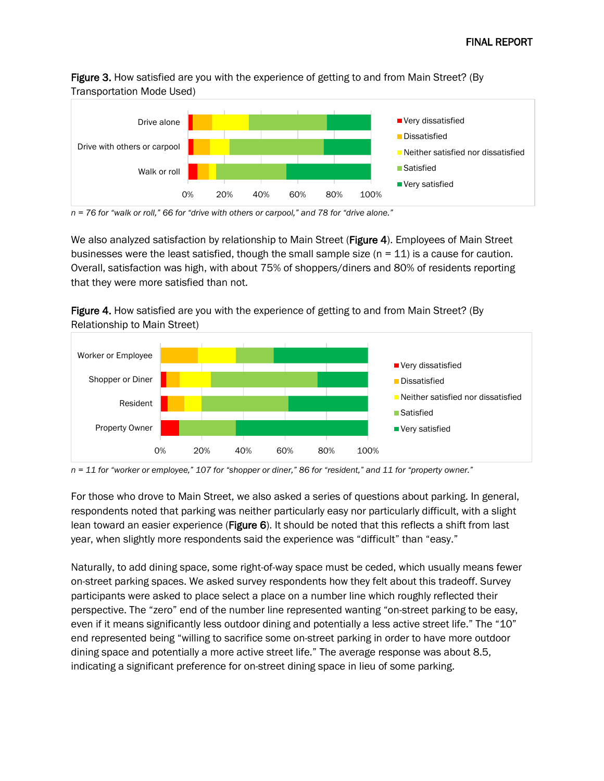Figure 3. How satisfied are you with the experience of getting to and from Main Street? (By Transportation Mode Used)



*n = 76 for "walk or roll," 66 for "drive with others or carpool," and 78 for "drive alone."*

We also analyzed satisfaction by relationship to Main Street (Figure 4). Employees of Main Street businesses were the least satisfied, though the small sample size  $(n = 11)$  is a cause for caution. Overall, satisfaction was high, with about 75% of shoppers/diners and 80% of residents reporting that they were more satisfied than not.

Figure 4. How satisfied are you with the experience of getting to and from Main Street? (By Relationship to Main Street)



*n = 11 for "worker or employee," 107 for "shopper or diner," 86 for "resident," and 11 for "property owner."*

For those who drove to Main Street, we also asked a series of questions about parking. In general, respondents noted that parking was neither particularly easy nor particularly difficult, with a slight lean toward an easier experience (Figure 6). It should be noted that this reflects a shift from last year, when slightly more respondents said the experience was "difficult" than "easy."

Naturally, to add dining space, some right-of-way space must be ceded, which usually means fewer on-street parking spaces. We asked survey respondents how they felt about this tradeoff. Survey participants were asked to place select a place on a number line which roughly reflected their perspective. The "zero" end of the number line represented wanting "on-street parking to be easy, even if it means significantly less outdoor dining and potentially a less active street life." The "10" end represented being "willing to sacrifice some on-street parking in order to have more outdoor dining space and potentially a more active street life." The average response was about 8.5, indicating a significant preference for on-street dining space in lieu of some parking.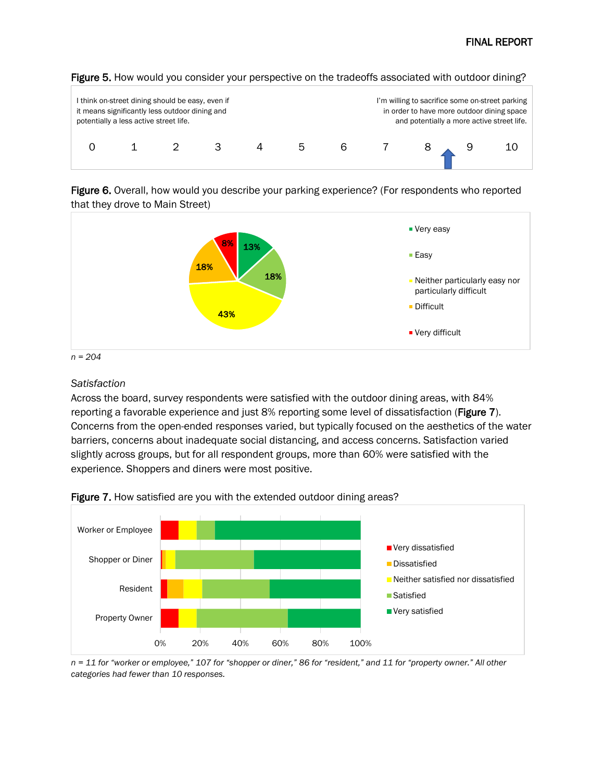

#### Figure 5. How would you consider your perspective on the tradeoffs associated with outdoor dining?

Figure 6. Overall, how would you describe your parking experience? (For respondents who reported that they drove to Main Street)



*n = 204*

### *Satisfaction*

Across the board, survey respondents were satisfied with the outdoor dining areas, with 84% reporting a favorable experience and just 8% reporting some level of dissatisfaction (Figure 7). Concerns from the open-ended responses varied, but typically focused on the aesthetics of the water barriers, concerns about inadequate social distancing, and access concerns. Satisfaction varied slightly across groups, but for all respondent groups, more than 60% were satisfied with the experience. Shoppers and diners were most positive.



Figure 7. How satisfied are you with the extended outdoor dining areas?

*n = 11 for "worker or employee," 107 for "shopper or diner," 86 for "resident," and 11 for "property owner." All other categories had fewer than 10 responses.*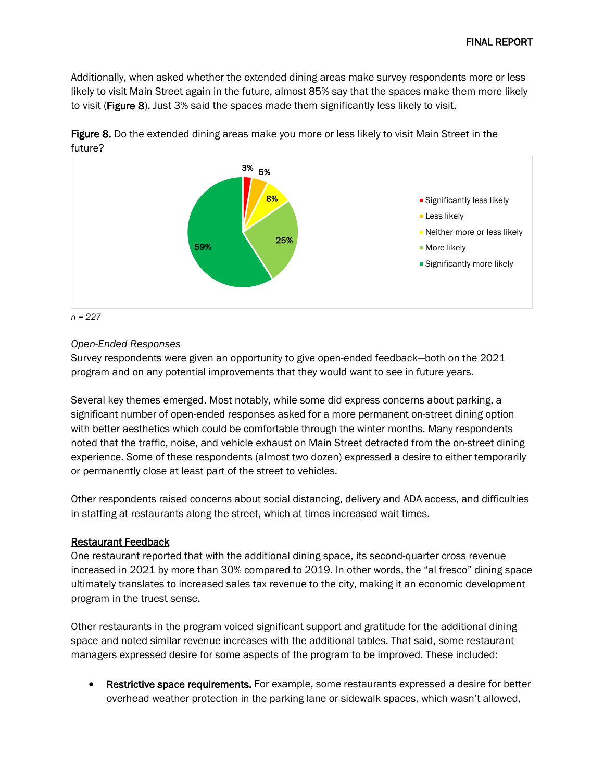Additionally, when asked whether the extended dining areas make survey respondents more or less likely to visit Main Street again in the future, almost 85% say that the spaces make them more likely to visit (Figure 8). Just 3% said the spaces made them significantly less likely to visit.



Figure 8. Do the extended dining areas make you more or less likely to visit Main Street in the future?

*Open-Ended Responses*

Survey respondents were given an opportunity to give open-ended feedback—both on the 2021 program and on any potential improvements that they would want to see in future years.

Several key themes emerged. Most notably, while some did express concerns about parking, a significant number of open-ended responses asked for a more permanent on-street dining option with better aesthetics which could be comfortable through the winter months. Many respondents noted that the traffic, noise, and vehicle exhaust on Main Street detracted from the on-street dining experience. Some of these respondents (almost two dozen) expressed a desire to either temporarily or permanently close at least part of the street to vehicles.

Other respondents raised concerns about social distancing, delivery and ADA access, and difficulties in staffing at restaurants along the street, which at times increased wait times.

# Restaurant Feedback

One restaurant reported that with the additional dining space, its second-quarter cross revenue increased in 2021 by more than 30% compared to 2019. In other words, the "al fresco" dining space ultimately translates to increased sales tax revenue to the city, making it an economic development program in the truest sense.

Other restaurants in the program voiced significant support and gratitude for the additional dining space and noted similar revenue increases with the additional tables. That said, some restaurant managers expressed desire for some aspects of the program to be improved. These included:

Restrictive space requirements. For example, some restaurants expressed a desire for better overhead weather protection in the parking lane or sidewalk spaces, which wasn't allowed,